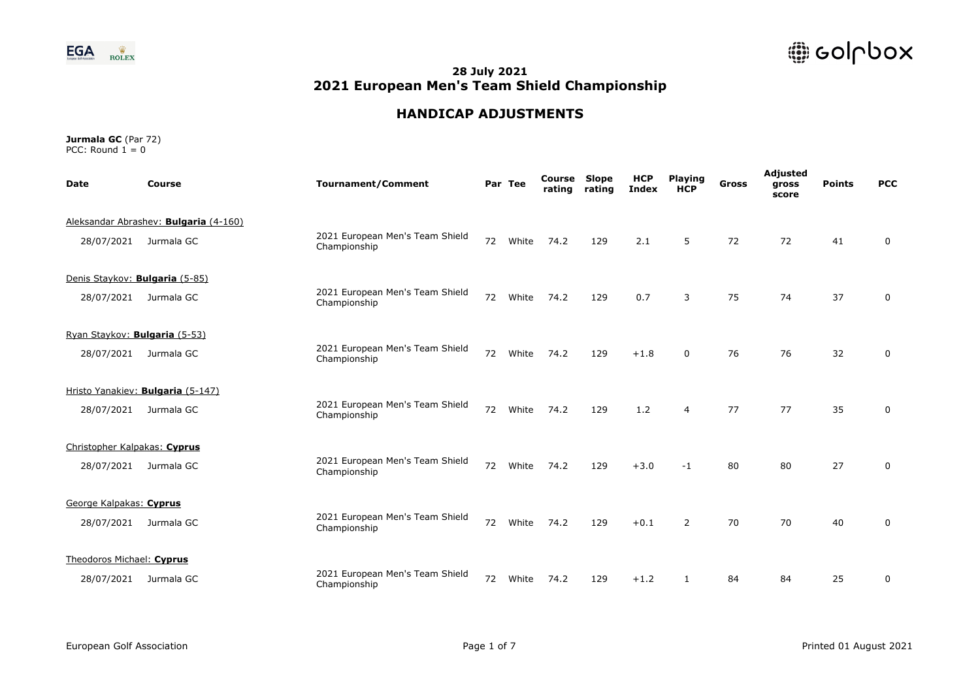

# **HANDICAP ADJUSTMENTS**

| <b>Date</b>                    | Course                                | <b>Tournament/Comment</b>                       |    | Par Tee | Course<br>rating | <b>Slope</b><br>rating | <b>HCP</b><br><b>Index</b> | <b>Playing</b><br><b>HCP</b> | <b>Gross</b> | Adjusted<br>gross<br>score | <b>Points</b> | <b>PCC</b>  |
|--------------------------------|---------------------------------------|-------------------------------------------------|----|---------|------------------|------------------------|----------------------------|------------------------------|--------------|----------------------------|---------------|-------------|
|                                | Aleksandar Abrashev: Bulgaria (4-160) |                                                 |    |         |                  |                        |                            |                              |              |                            |               |             |
| 28/07/2021                     | Jurmala GC                            | 2021 European Men's Team Shield<br>Championship | 72 | White   | 74.2             | 129                    | 2.1                        | 5                            | 72           | 72                         | 41            | 0           |
| Denis Staykov: Bulgaria (5-85) |                                       |                                                 |    |         |                  |                        |                            |                              |              |                            |               |             |
| 28/07/2021                     | Jurmala GC                            | 2021 European Men's Team Shield<br>Championship | 72 | White   | 74.2             | 129                    | 0.7                        | 3                            | 75           | 74                         | 37            | $\mathbf 0$ |
| Ryan Staykov: Bulgaria (5-53)  |                                       |                                                 |    |         |                  |                        |                            |                              |              |                            |               |             |
| 28/07/2021                     | Jurmala GC                            | 2021 European Men's Team Shield<br>Championship | 72 | White   | 74.2             | 129                    | $+1.8$                     | $\Omega$                     | 76           | 76                         | 32            | 0           |
|                                | Hristo Yanakiev: Bulgaria (5-147)     |                                                 |    |         |                  |                        |                            |                              |              |                            |               |             |
| 28/07/2021                     | Jurmala GC                            | 2021 European Men's Team Shield<br>Championship | 72 | White   | 74.2             | 129                    | 1.2                        | $\overline{4}$               | 77           | 77                         | 35            | 0           |
| Christopher Kalpakas: Cyprus   |                                       |                                                 |    |         |                  |                        |                            |                              |              |                            |               |             |
| 28/07/2021                     | Jurmala GC                            | 2021 European Men's Team Shield<br>Championship | 72 | White   | 74.2             | 129                    | $+3.0$                     | $-1$                         | 80           | 80                         | 27            | $\Omega$    |
| George Kalpakas: Cyprus        |                                       |                                                 |    |         |                  |                        |                            |                              |              |                            |               |             |
| 28/07/2021                     | Jurmala GC                            | 2021 European Men's Team Shield<br>Championship | 72 | White   | 74.2             | 129                    | $+0.1$                     | 2                            | 70           | 70                         | 40            | $\Omega$    |
| Theodoros Michael: Cyprus      |                                       |                                                 |    |         |                  |                        |                            |                              |              |                            |               |             |
| 28/07/2021                     | Jurmala GC                            | 2021 European Men's Team Shield<br>Championship | 72 | White   | 74.2             | 129                    | $+1.2$                     | 1                            | 84           | 84                         | 25            | $\Omega$    |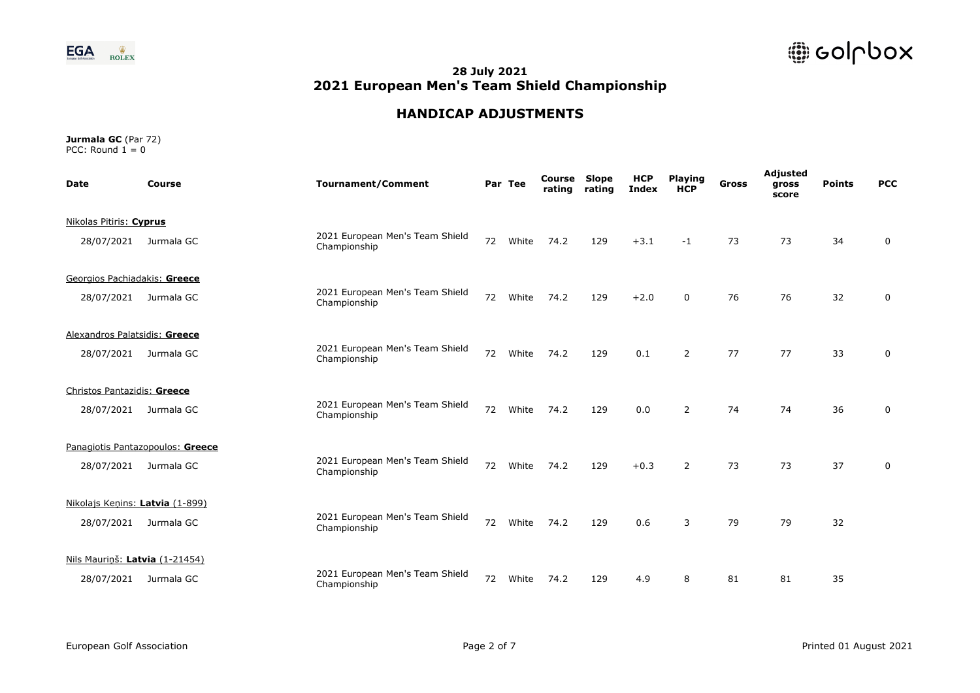

# **HANDICAP ADJUSTMENTS**

| <b>Date</b>                     | <b>Course</b>                    | <b>Tournament/Comment</b>                       |    | Par Tee | Course<br>rating | <b>Slope</b><br>rating | <b>HCP</b><br><b>Index</b> | <b>Playing</b><br><b>HCP</b> | Gross | Adjusted<br>gross<br>score | <b>Points</b> | <b>PCC</b> |
|---------------------------------|----------------------------------|-------------------------------------------------|----|---------|------------------|------------------------|----------------------------|------------------------------|-------|----------------------------|---------------|------------|
| Nikolas Pitiris: Cyprus         |                                  |                                                 |    |         |                  |                        |                            |                              |       |                            |               |            |
| 28/07/2021                      | Jurmala GC                       | 2021 European Men's Team Shield<br>Championship | 72 | White   | 74.2             | 129                    | $+3.1$                     | $-1$                         | 73    | 73                         | 34            | 0          |
| Georgios Pachiadakis: Greece    |                                  |                                                 |    |         |                  |                        |                            |                              |       |                            |               |            |
| 28/07/2021                      | Jurmala GC                       | 2021 European Men's Team Shield<br>Championship | 72 | White   | 74.2             | 129                    | $+2.0$                     | $\Omega$                     | 76    | 76                         | 32            | 0          |
| Alexandros Palatsidis: Greece   |                                  |                                                 |    |         |                  |                        |                            |                              |       |                            |               |            |
| 28/07/2021                      | Jurmala GC                       | 2021 European Men's Team Shield<br>Championship | 72 | White   | 74.2             | 129                    | 0.1                        | 2                            | 77    | 77                         | 33            | 0          |
| Christos Pantazidis: Greece     |                                  |                                                 |    |         |                  |                        |                            |                              |       |                            |               |            |
| 28/07/2021                      | Jurmala GC                       | 2021 European Men's Team Shield<br>Championship | 72 | White   | 74.2             | 129                    | 0.0                        | $\overline{2}$               | 74    | 74                         | 36            | 0          |
|                                 | Panagiotis Pantazopoulos: Greece |                                                 |    |         |                  |                        |                            |                              |       |                            |               |            |
| 28/07/2021                      | Jurmala GC                       | 2021 European Men's Team Shield<br>Championship | 72 | White   | 74.2             | 129                    | $+0.3$                     | $\overline{2}$               | 73    | 73                         | 37            | 0          |
| Nikolajs Kenins: Latvia (1-899) |                                  |                                                 |    |         |                  |                        |                            |                              |       |                            |               |            |
| 28/07/2021                      | Jurmala GC                       | 2021 European Men's Team Shield<br>Championship | 72 | White   | 74.2             | 129                    | 0.6                        | 3                            | 79    | 79                         | 32            |            |
| Nils Maurinš: Latvia (1-21454)  |                                  |                                                 |    |         |                  |                        |                            |                              |       |                            |               |            |
| 28/07/2021                      | Jurmala GC                       | 2021 European Men's Team Shield<br>Championship | 72 | White   | 74.2             | 129                    | 4.9                        | 8                            | 81    | 81                         | 35            |            |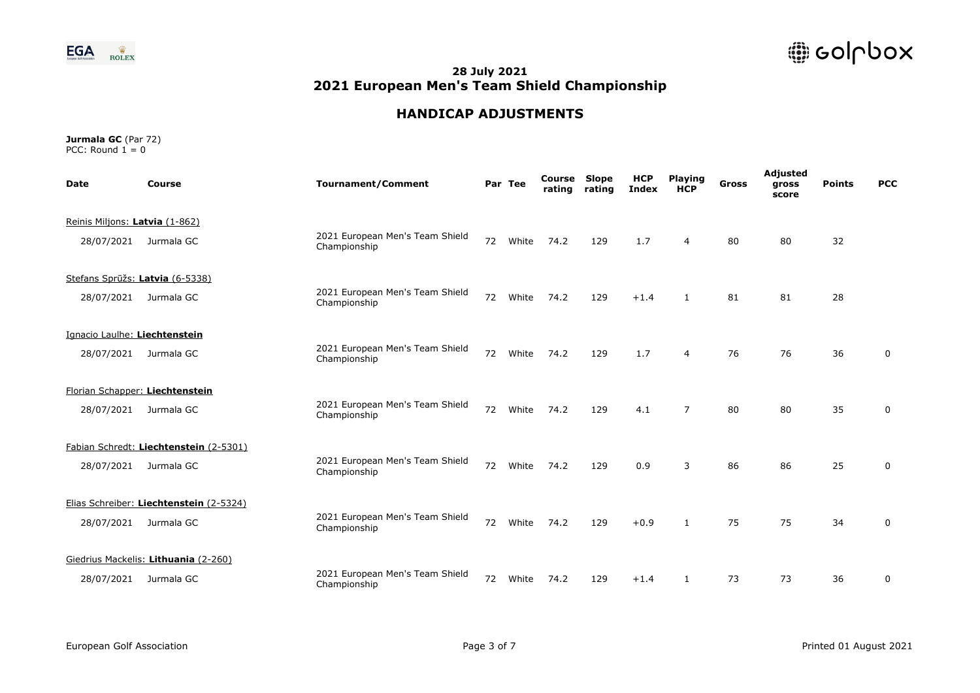



### **HANDICAP ADJUSTMENTS**

| <b>Date</b>                    | Course                                  | <b>Tournament/Comment</b>                       |    | Par Tee | Course<br>rating | Slope<br>rating | <b>HCP</b><br>Index | <b>Playing</b><br><b>HCP</b> | <b>Gross</b> | Adjusted<br>gross<br>score | <b>Points</b> | <b>PCC</b>  |  |
|--------------------------------|-----------------------------------------|-------------------------------------------------|----|---------|------------------|-----------------|---------------------|------------------------------|--------------|----------------------------|---------------|-------------|--|
| Reinis Miljons: Latvia (1-862) |                                         |                                                 |    |         |                  |                 |                     |                              |              |                            |               |             |  |
| 28/07/2021                     | Jurmala GC                              | 2021 European Men's Team Shield<br>Championship | 72 | White   | 74.2             | 129             | 1.7                 | 4                            | 80           | 80                         | 32            |             |  |
|                                | Stefans Sprūžs: Latvia (6-5338)         |                                                 |    |         |                  |                 |                     |                              |              |                            |               |             |  |
| 28/07/2021                     | Jurmala GC                              | 2021 European Men's Team Shield<br>Championship | 72 | White   | 74.2             | 129             | $+1.4$              | $\mathbf{1}$                 | 81           | 81                         | 28            |             |  |
| Ignacio Laulhe: Liechtenstein  |                                         |                                                 |    |         |                  |                 |                     |                              |              |                            |               |             |  |
| 28/07/2021                     | Jurmala GC                              | 2021 European Men's Team Shield<br>Championship | 72 | White   | 74.2             | 129             | 1.7                 | 4                            | 76           | 76                         | 36            | 0           |  |
|                                | Florian Schapper: Liechtenstein         |                                                 |    |         |                  |                 |                     |                              |              |                            |               |             |  |
| 28/07/2021                     | Jurmala GC                              | 2021 European Men's Team Shield<br>Championship | 72 | White   | 74.2             | 129             | 4.1                 | $\overline{7}$               | 80           | 80                         | 35            | 0           |  |
|                                | Fabian Schredt: Liechtenstein (2-5301)  |                                                 |    |         |                  |                 |                     |                              |              |                            |               |             |  |
| 28/07/2021                     | Jurmala GC                              | 2021 European Men's Team Shield<br>Championship | 72 | White   | 74.2             | 129             | 0.9                 | 3                            | 86           | 86                         | 25            | $\mathbf 0$ |  |
|                                | Elias Schreiber: Liechtenstein (2-5324) |                                                 |    |         |                  |                 |                     |                              |              |                            |               |             |  |
| 28/07/2021                     | Jurmala GC                              | 2021 European Men's Team Shield<br>Championship | 72 | White   | 74.2             | 129             | $+0.9$              |                              | 75           | 75                         | 34            | 0           |  |
|                                | Giedrius Mackelis: Lithuania (2-260)    |                                                 |    |         |                  |                 |                     |                              |              |                            |               |             |  |
| 28/07/2021                     | Jurmala GC                              | 2021 European Men's Team Shield<br>Championship | 72 | White   | 74.2             | 129             | $+1.4$              | $\mathbf{1}$                 | 73           | 73                         | 36            | 0           |  |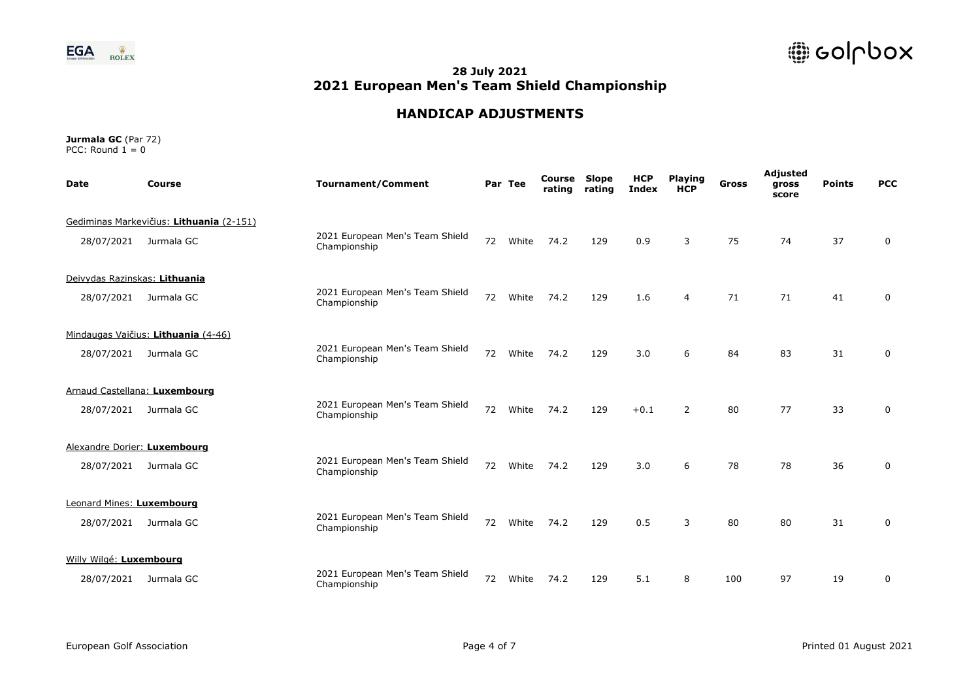

# **HANDICAP ADJUSTMENTS**

| <b>Date</b>                   | Course                                   | <b>Tournament/Comment</b>                       |    | Par Tee | Course<br>rating | <b>Slope</b><br>rating | <b>HCP</b><br><b>Index</b> | <b>Playing</b><br><b>HCP</b> | <b>Gross</b> | Adjusted<br>gross<br>score | <b>Points</b> | <b>PCC</b>  |
|-------------------------------|------------------------------------------|-------------------------------------------------|----|---------|------------------|------------------------|----------------------------|------------------------------|--------------|----------------------------|---------------|-------------|
|                               | Gediminas Markevičius: Lithuania (2-151) |                                                 |    |         |                  |                        |                            |                              |              |                            |               |             |
| 28/07/2021                    | Jurmala GC                               | 2021 European Men's Team Shield<br>Championship | 72 | White   | 74.2             | 129                    | 0.9                        | 3                            | 75           | 74                         | 37            | $\mathbf 0$ |
| Deivydas Razinskas: Lithuania |                                          |                                                 |    |         |                  |                        |                            |                              |              |                            |               |             |
| 28/07/2021                    | Jurmala GC                               | 2021 European Men's Team Shield<br>Championship | 72 | White   | 74.2             | 129                    | 1.6                        | $\overline{4}$               | 71           | 71                         | 41            | $\mathbf 0$ |
|                               | Mindaugas Vaičius: Lithuania (4-46)      |                                                 |    |         |                  |                        |                            |                              |              |                            |               |             |
| 28/07/2021                    | Jurmala GC                               | 2021 European Men's Team Shield<br>Championship | 72 | White   | 74.2             | 129                    | 3.0                        | 6                            | 84           | 83                         | 31            | 0           |
|                               | Arnaud Castellana: Luxembourg            |                                                 |    |         |                  |                        |                            |                              |              |                            |               |             |
| 28/07/2021                    | Jurmala GC                               | 2021 European Men's Team Shield<br>Championship | 72 | White   | 74.2             | 129                    | $+0.1$                     | 2                            | 80           | 77                         | 33            | 0           |
| Alexandre Dorier: Luxembourg  |                                          |                                                 |    |         |                  |                        |                            |                              |              |                            |               |             |
| 28/07/2021                    | Jurmala GC                               | 2021 European Men's Team Shield<br>Championship | 72 | White   | 74.2             | 129                    | 3.0                        | 6                            | 78           | 78                         | 36            | $\mathbf 0$ |
| Leonard Mines: Luxembourg     |                                          |                                                 |    |         |                  |                        |                            |                              |              |                            |               |             |
| 28/07/2021                    | Jurmala GC                               | 2021 European Men's Team Shield<br>Championship | 72 | White   | 74.2             | 129                    | 0.5                        | 3                            | 80           | 80                         | 31            | $\mathbf 0$ |
| Willy Wilgé: Luxembourg       |                                          |                                                 |    |         |                  |                        |                            |                              |              |                            |               |             |
| 28/07/2021                    | Jurmala GC                               | 2021 European Men's Team Shield<br>Championship | 72 | White   | 74.2             | 129                    | 5.1                        | 8                            | 100          | 97                         | 19            | 0           |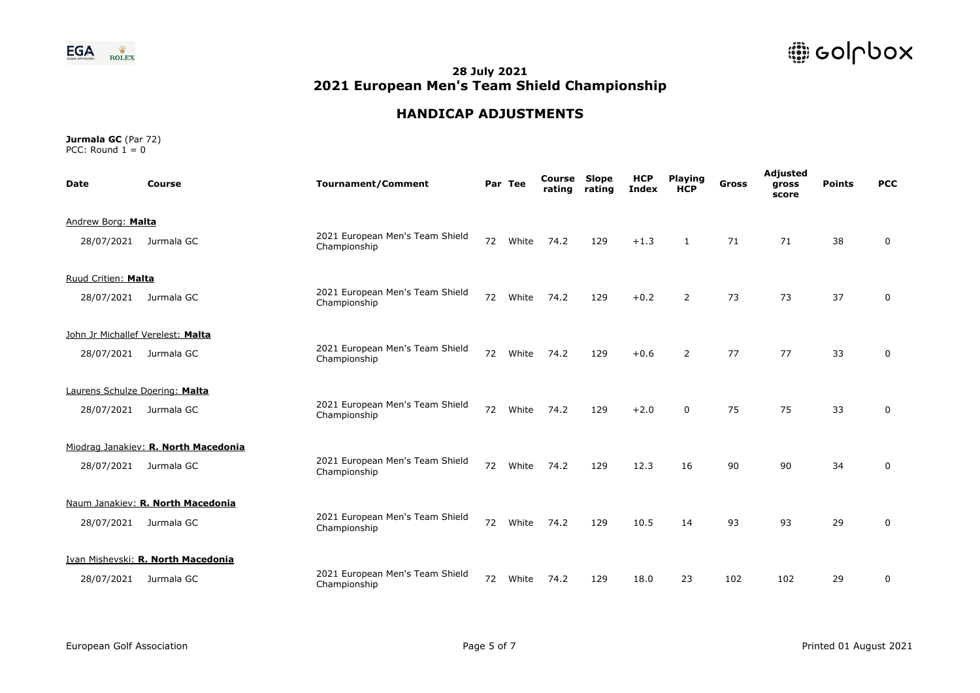

# **HANDICAP ADJUSTMENTS**

| <b>Date</b>                       | Course                               | <b>Tournament/Comment</b>                       |    | Par Tee | Course<br>rating | <b>Slope</b><br>rating | <b>HCP</b><br>Index | <b>Playing</b><br><b>HCP</b> | <b>Gross</b> | Adjusted<br>gross<br>score | <b>Points</b> | <b>PCC</b>  |
|-----------------------------------|--------------------------------------|-------------------------------------------------|----|---------|------------------|------------------------|---------------------|------------------------------|--------------|----------------------------|---------------|-------------|
| Andrew Borg: Malta                |                                      |                                                 |    |         |                  |                        |                     |                              |              |                            |               |             |
| 28/07/2021                        | Jurmala GC                           | 2021 European Men's Team Shield<br>Championship | 72 | White   | 74.2             | 129                    | $+1.3$              | $\mathbf{1}$                 | 71           | 71                         | 38            | 0           |
| Ruud Critien: Malta               |                                      |                                                 |    |         |                  |                        |                     |                              |              |                            |               |             |
| 28/07/2021                        | Jurmala GC                           | 2021 European Men's Team Shield<br>Championship | 72 | White   | 74.2             | 129                    | $+0.2$              | $\overline{2}$               | 73           | 73                         | 37            | 0           |
| John Jr Michallef Verelest: Malta |                                      |                                                 |    |         |                  |                        |                     |                              |              |                            |               |             |
| 28/07/2021                        | Jurmala GC                           | 2021 European Men's Team Shield<br>Championship | 72 | White   | 74.2             | 129                    | $+0.6$              | 2                            | 77           | 77                         | 33            | 0           |
| Laurens Schulze Doering: Malta    |                                      |                                                 |    |         |                  |                        |                     |                              |              |                            |               |             |
| 28/07/2021                        | Jurmala GC                           | 2021 European Men's Team Shield<br>Championship | 72 | White   | 74.2             | 129                    | $+2.0$              | $\Omega$                     | 75           | 75                         | 33            | 0           |
|                                   | Miodrag Janakiev: R. North Macedonia |                                                 |    |         |                  |                        |                     |                              |              |                            |               |             |
| 28/07/2021                        | Jurmala GC                           | 2021 European Men's Team Shield<br>Championship | 72 | White   | 74.2             | 129                    | 12.3                | 16                           | 90           | 90                         | 34            | 0           |
|                                   | Naum Janakiev: R. North Macedonia    |                                                 |    |         |                  |                        |                     |                              |              |                            |               |             |
| 28/07/2021                        | Jurmala GC                           | 2021 European Men's Team Shield<br>Championship | 72 | White   | 74.2             | 129                    | 10.5                | 14                           | 93           | 93                         | 29            | $\mathbf 0$ |
|                                   | Ivan Mishevski: R. North Macedonia   |                                                 |    |         |                  |                        |                     |                              |              |                            |               |             |
| 28/07/2021                        | Jurmala GC                           | 2021 European Men's Team Shield<br>Championship | 72 | White   | 74.2             | 129                    | 18.0                | 23                           | 102          | 102                        | 29            | 0           |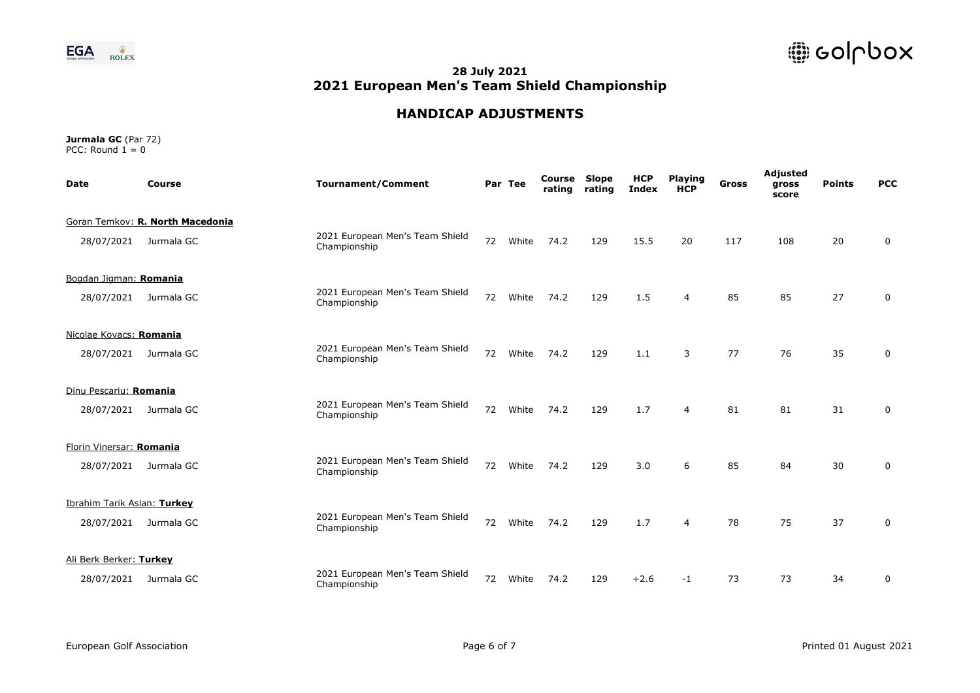

# **HANDICAP ADJUSTMENTS**

| <b>Date</b>                 | Course                           | <b>Tournament/Comment</b>                       |    | Par Tee | Course<br>rating | <b>Slope</b><br>rating | <b>HCP</b><br><b>Index</b> | <b>Playing</b><br><b>HCP</b> | <b>Gross</b> | Adjusted<br>gross<br>score | <b>Points</b> | <b>PCC</b>   |  |
|-----------------------------|----------------------------------|-------------------------------------------------|----|---------|------------------|------------------------|----------------------------|------------------------------|--------------|----------------------------|---------------|--------------|--|
|                             | Goran Temkov: R. North Macedonia |                                                 |    |         |                  |                        |                            |                              |              |                            |               |              |  |
| 28/07/2021                  | Jurmala GC                       | 2021 European Men's Team Shield<br>Championship | 72 | White   | 74.2             | 129                    | 15.5                       | 20                           | 117          | 108                        | 20            | $\mathbf 0$  |  |
| Bogdan Jigman: Romania      |                                  |                                                 |    |         |                  |                        |                            |                              |              |                            |               |              |  |
| 28/07/2021                  | Jurmala GC                       | 2021 European Men's Team Shield<br>Championship | 72 | White   | 74.2             | 129                    | 1.5                        | $\overline{4}$               | 85           | 85                         | 27            | $\mathbf{0}$ |  |
| Nicolae Kovacs: Romania     |                                  |                                                 |    |         |                  |                        |                            |                              |              |                            |               |              |  |
| 28/07/2021                  | Jurmala GC                       | 2021 European Men's Team Shield<br>Championship | 72 | White   | 74.2             | 129                    | 1.1                        | 3                            | 77           | 76                         | 35            | $\mathbf 0$  |  |
| Dinu Pescariu: Romania      |                                  |                                                 |    |         |                  |                        |                            |                              |              |                            |               |              |  |
| 28/07/2021                  | Jurmala GC                       | 2021 European Men's Team Shield<br>Championship | 72 | White   | 74.2             | 129                    | 1.7                        | $\overline{4}$               | 81           | 81                         | 31            | 0            |  |
| Florin Vinersar: Romania    |                                  |                                                 |    |         |                  |                        |                            |                              |              |                            |               |              |  |
| 28/07/2021                  | Jurmala GC                       | 2021 European Men's Team Shield<br>Championship | 72 | White   | 74.2             | 129                    | 3.0                        | 6                            | 85           | 84                         | 30            | 0            |  |
| Ibrahim Tarik Aslan: Turkey |                                  |                                                 |    |         |                  |                        |                            |                              |              |                            |               |              |  |
| 28/07/2021                  | Jurmala GC                       | 2021 European Men's Team Shield<br>Championship | 72 | White   | 74.2             | 129                    | 1.7                        | $\overline{4}$               | 78           | 75                         | 37            | $\mathbf 0$  |  |
| Ali Berk Berker: Turkey     |                                  |                                                 |    |         |                  |                        |                            |                              |              |                            |               |              |  |
| 28/07/2021                  | Jurmala GC                       | 2021 European Men's Team Shield<br>Championship | 72 | White   | 74.2             | 129                    | $+2.6$                     | $-1$                         | 73           | 73                         | 34            | $\mathbf{0}$ |  |